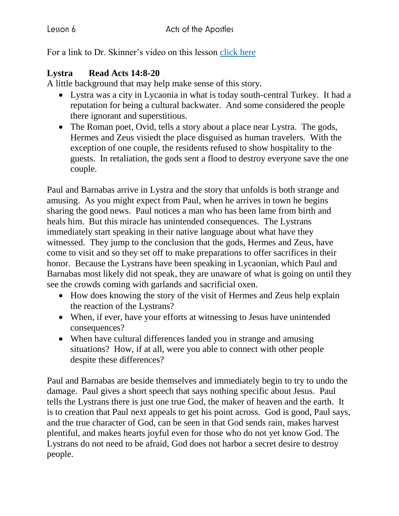For a link to Dr. Skinner's video on this lesson [click here](https://my.amplifymedia.com/amplify/series/unitedmethodistpublishinghouse/30870-acts?fbclid=IwAR3ywGl_HyjOrXPLm8tDJBlnJFFMu-UlPSUogvcW6GrNOJ660HmK3nUMN-U)

## **Lystra Read Acts 14:8-20**

A little background that may help make sense of this story.

- Lystra was a city in Lycaonia in what is today south-central Turkey. It had a reputation for being a cultural backwater. And some considered the people there ignorant and superstitious.
- The Roman poet, Ovid, tells a story about a place near Lystra. The gods, Hermes and Zeus visiedt the place disguised as human travelers. With the exception of one couple, the residents refused to show hospitality to the guests. In retaliation, the gods sent a flood to destroy everyone save the one couple.

Paul and Barnabas arrive in Lystra and the story that unfolds is both strange and amusing. As you might expect from Paul, when he arrives in town he begins sharing the good news. Paul notices a man who has been lame from birth and heals him. But this miracle has unintended consequences. The Lystrans immediately start speaking in their native language about what have they witnessed. They jump to the conclusion that the gods, Hermes and Zeus, have come to visit and so they set off to make preparations to offer sacrifices in their honor. Because the Lystrans have been speaking in Lycaonian, which Paul and Barnabas most likely did not speak, they are unaware of what is going on until they see the crowds coming with garlands and sacrificial oxen.

- How does knowing the story of the visit of Hermes and Zeus help explain the reaction of the Lystrans?
- When, if ever, have your efforts at witnessing to Jesus have unintended consequences?
- When have cultural differences landed you in strange and amusing situations? How, if at all, were you able to connect with other people despite these differences?

Paul and Barnabas are beside themselves and immediately begin to try to undo the damage. Paul gives a short speech that says nothing specific about Jesus. Paul tells the Lystrans there is just one true God, the maker of heaven and the earth. It is to creation that Paul next appeals to get his point across. God is good, Paul says, and the true character of God, can be seen in that God sends rain, makes harvest plentiful, and makes hearts joyful even for those who do not yet know God. The Lystrans do not need to be afraid, God does not harbor a secret desire to destroy people.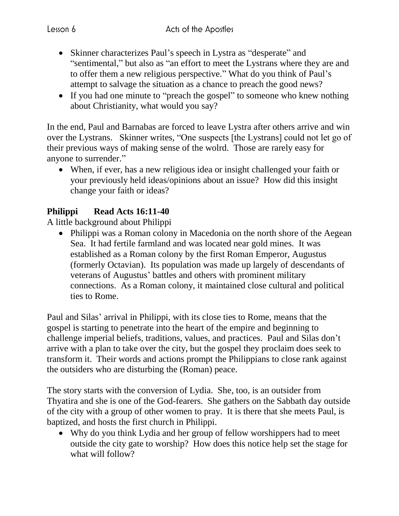- Skinner characterizes Paul's speech in Lystra as "desperate" and "sentimental," but also as "an effort to meet the Lystrans where they are and to offer them a new religious perspective." What do you think of Paul's attempt to salvage the situation as a chance to preach the good news?
- If you had one minute to "preach the gospel" to some one who knew nothing about Christianity, what would you say?

In the end, Paul and Barnabas are forced to leave Lystra after others arrive and win over the Lystrans. Skinner writes, "One suspects [the Lystrans] could not let go of their previous ways of making sense of the wolrd. Those are rarely easy for anyone to surrender."

 When, if ever, has a new religious idea or insight challenged your faith or your previously held ideas/opinions about an issue? How did this insight change your faith or ideas?

## **Philippi Read Acts 16:11-40**

A little background about Philippi

• Philippi was a Roman colony in Macedonia on the north shore of the Aegean Sea. It had fertile farmland and was located near gold mines. It was established as a Roman colony by the first Roman Emperor, Augustus (formerly Octavian). Its population was made up largely of descendants of veterans of Augustus' battles and others with prominent military connections. As a Roman colony, it maintained close cultural and political ties to Rome.

Paul and Silas' arrival in Philippi, with its close ties to Rome, means that the gospel is starting to penetrate into the heart of the empire and beginning to challenge imperial beliefs, traditions, values, and practices. Paul and Silas don't arrive with a plan to take over the city, but the gospel they proclaim does seek to transform it. Their words and actions prompt the Philippians to close rank against the outsiders who are disturbing the (Roman) peace.

The story starts with the conversion of Lydia. She, too, is an outsider from Thyatira and she is one of the God-fearers. She gathers on the Sabbath day outside of the city with a group of other women to pray. It is there that she meets Paul, is baptized, and hosts the first church in Philippi.

 Why do you think Lydia and her group of fellow worshippers had to meet outside the city gate to worship? How does this notice help set the stage for what will follow?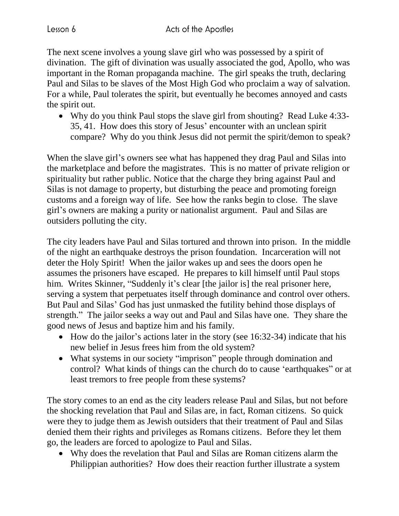The next scene involves a young slave girl who was possessed by a spirit of divination. The gift of divination was usually associated the god, Apollo, who was important in the Roman propaganda machine. The girl speaks the truth, declaring Paul and Silas to be slaves of the Most High God who proclaim a way of salvation. For a while, Paul tolerates the spirit, but eventually he becomes annoyed and casts the spirit out.

• Why do you think Paul stops the slave girl from shouting? Read Luke 4:33-35, 41. How does this story of Jesus' encounter with an unclean spirit compare? Why do you think Jesus did not permit the spirit/demon to speak?

When the slave girl's owners see what has happened they drag Paul and Silas into the marketplace and before the magistrates. This is no matter of private religion or spirituality but rather public. Notice that the charge they bring against Paul and Silas is not damage to property, but disturbing the peace and promoting foreign customs and a foreign way of life. See how the ranks begin to close. The slave girl's owners are making a purity or nationalist argument. Paul and Silas are outsiders polluting the city.

The city leaders have Paul and Silas tortured and thrown into prison. In the middle of the night an earthquake destroys the prison foundation. Incarceration will not deter the Holy Spirit! When the jailor wakes up and sees the doors open he assumes the prisoners have escaped. He prepares to kill himself until Paul stops him. Writes Skinner, "Suddenly it's clear [the jailor is] the real prisoner here, serving a system that perpetuates itself through dominance and control over others. But Paul and Silas' God has just unmasked the futility behind those displays of strength." The jailor seeks a way out and Paul and Silas have one. They share the good news of Jesus and baptize him and his family.

- $\bullet$  How do the jailor's actions later in the story (see 16:32-34) indicate that his new belief in Jesus frees him from the old system?
- What systems in our society "imprison" people through domination and control? What kinds of things can the church do to cause 'earthquakes" or at least tremors to free people from these systems?

The story comes to an end as the city leaders release Paul and Silas, but not before the shocking revelation that Paul and Silas are, in fact, Roman citizens. So quick were they to judge them as Jewish outsiders that their treatment of Paul and Silas denied them their rights and privileges as Romans citizens. Before they let them go, the leaders are forced to apologize to Paul and Silas.

 Why does the revelation that Paul and Silas are Roman citizens alarm the Philippian authorities? How does their reaction further illustrate a system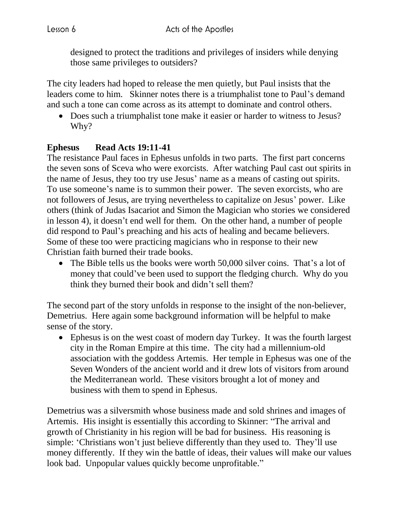designed to protect the traditions and privileges of insiders while denying those same privileges to outsiders?

The city leaders had hoped to release the men quietly, but Paul insists that the leaders come to him. Skinner notes there is a triumphalist tone to Paul's demand and such a tone can come across as its attempt to dominate and control others.

 Does such a triumphalist tone make it easier or harder to witness to Jesus? Why?

## **Ephesus Read Acts 19:11-41**

The resistance Paul faces in Ephesus unfolds in two parts. The first part concerns the seven sons of Sceva who were exorcists. After watching Paul cast out spirits in the name of Jesus, they too try use Jesus' name as a means of casting out spirits. To use someone's name is to summon their power. The seven exorcists, who are not followers of Jesus, are trying nevertheless to capitalize on Jesus' power. Like others (think of Judas Isacariot and Simon the Magician who stories we considered in lesson 4), it doesn't end well for them. On the other hand, a number of people did respond to Paul's preaching and his acts of healing and became believers. Some of these too were practicing magicians who in response to their new Christian faith burned their trade books.

• The Bible tells us the books were worth 50,000 silver coins. That's a lot of money that could've been used to support the fledging church. Why do you think they burned their book and didn't sell them?

The second part of the story unfolds in response to the insight of the non-believer, Demetrius. Here again some background information will be helpful to make sense of the story.

 Ephesus is on the west coast of modern day Turkey. It was the fourth largest city in the Roman Empire at this time. The city had a millennium-old association with the goddess Artemis. Her temple in Ephesus was one of the Seven Wonders of the ancient world and it drew lots of visitors from around the Mediterranean world. These visitors brought a lot of money and business with them to spend in Ephesus.

Demetrius was a silversmith whose business made and sold shrines and images of Artemis. His insight is essentially this according to Skinner: "The arrival and growth of Christianity in his region will be bad for business. His reasoning is simple: 'Christians won't just believe differently than they used to. They'll use money differently. If they win the battle of ideas, their values will make our values look bad. Unpopular values quickly become unprofitable."